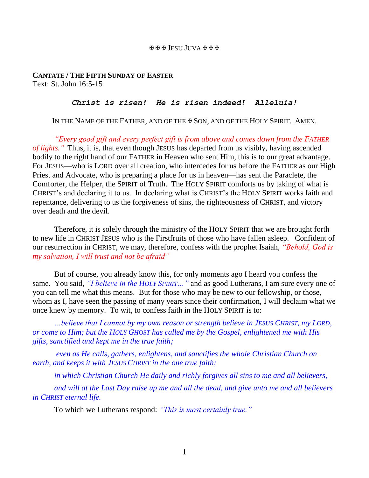## JESU JUVA

## **CANTATE / THE FIFTH SUNDAY OF EASTER** Text: St. John 16:5-15

## *Christ is risen! He is risen indeed! Alleluia!*

IN THE NAME OF THE FATHER, AND OF THE  $\clubsuit$  Son, and of the HOLY SPIRIT. AMEN.

*"Every good gift and every perfect gift is from above and comes down from the FATHER of lights."* Thus, it is, that even though JESUS has departed from us visibly, having ascended bodily to the right hand of our FATHER in Heaven who sent Him, this is to our great advantage. For JESUS—who is LORD over all creation, who intercedes for us before the FATHER as our High Priest and Advocate, who is preparing a place for us in heaven—has sent the Paraclete, the Comforter, the Helper, the SPIRIT of Truth. The HOLY SPIRIT comforts us by taking of what is CHRIST's and declaring it to us. In declaring what is CHRIST's the HOLY SPIRIT works faith and repentance, delivering to us the forgiveness of sins, the righteousness of CHRIST, and victory over death and the devil.

Therefore, it is solely through the ministry of the HOLY SPIRIT that we are brought forth to new life in CHRIST JESUS who is the Firstfruits of those who have fallen asleep. Confident of our resurrection in CHRIST, we may, therefore, confess with the prophet Isaiah, *"Behold, God is my salvation, I will trust and not be afraid"*

But of course, you already know this, for only moments ago I heard you confess the same. You said, *"I believe in the HOLY SPIRIT…"* and as good Lutherans, I am sure every one of you can tell me what this means. But for those who may be new to our fellowship, or those, whom as I, have seen the passing of many years since their confirmation, I will declaim what we once knew by memory. To wit, to confess faith in the HOLY SPIRIT is to:

*…believe that I cannot by my own reason or strength believe in JESUS CHRIST, my LORD, or come to Him; but the HOLY GHOST has called me by the Gospel, enlightened me with His gifts, sanctified and kept me in the true faith;*

*even as He calls, gathers, enlightens, and sanctifies the whole Christian Church on earth, and keeps it with JESUS CHRIST in the one true faith;*

*in which Christian Church He daily and richly forgives all sins to me and all believers,*

*and will at the Last Day raise up me and all the dead, and give unto me and all believers in CHRIST eternal life.*

To which we Lutherans respond: *"This is most certainly true."*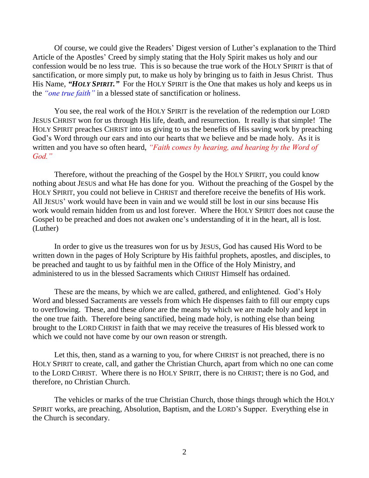Of course, we could give the Readers' Digest version of Luther's explanation to the Third Article of the Apostles' Creed by simply stating that the Holy Spirit makes us holy and our confession would be no less true. This is so because the true work of the HOLY SPIRIT is that of sanctification, or more simply put, to make us holy by bringing us to faith in Jesus Christ. Thus His Name, "HOLY SPIRIT." For the HOLY SPIRIT is the One that makes us holy and keeps us in the *"one true faith"* in a blessed state of sanctification or holiness.

You see, the real work of the HOLY SPIRIT is the revelation of the redemption our LORD JESUS CHRIST won for us through His life, death, and resurrection. It really is that simple! The HOLY SPIRIT preaches CHRIST into us giving to us the benefits of His saving work by preaching God's Word through our ears and into our hearts that we believe and be made holy. As it is written and you have so often heard, *"Faith comes by hearing, and hearing by the Word of God."*

Therefore, without the preaching of the Gospel by the HOLY SPIRIT, you could know nothing about JESUS and what He has done for you. Without the preaching of the Gospel by the HOLY SPIRIT, you could not believe in CHRIST and therefore receive the benefits of His work. All JESUS' work would have been in vain and we would still be lost in our sins because His work would remain hidden from us and lost forever. Where the HOLY SPIRIT does not cause the Gospel to be preached and does not awaken one's understanding of it in the heart, all is lost. (Luther)

In order to give us the treasures won for us by JESUS, God has caused His Word to be written down in the pages of Holy Scripture by His faithful prophets, apostles, and disciples, to be preached and taught to us by faithful men in the Office of the Holy Ministry, and administered to us in the blessed Sacraments which CHRIST Himself has ordained.

These are the means, by which we are called, gathered, and enlightened. God's Holy Word and blessed Sacraments are vessels from which He dispenses faith to fill our empty cups to overflowing. These, and these *alone* are the means by which we are made holy and kept in the one true faith. Therefore being sanctified, being made holy, is nothing else than being brought to the LORD CHRIST in faith that we may receive the treasures of His blessed work to which we could not have come by our own reason or strength.

Let this, then, stand as a warning to you, for where CHRIST is not preached, there is no HOLY SPIRIT to create, call, and gather the Christian Church, apart from which no one can come to the LORD CHRIST. Where there is no HOLY SPIRIT, there is no CHRIST; there is no God, and therefore, no Christian Church.

The vehicles or marks of the true Christian Church, those things through which the HOLY SPIRIT works, are preaching, Absolution, Baptism, and the LORD's Supper. Everything else in the Church is secondary.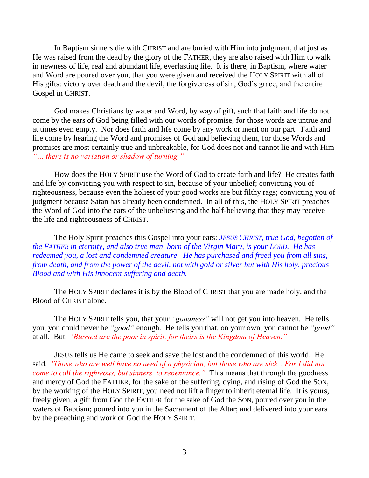In Baptism sinners die with CHRIST and are buried with Him into judgment, that just as He was raised from the dead by the glory of the FATHER, they are also raised with Him to walk in newness of life, real and abundant life, everlasting life. It is there, in Baptism, where water and Word are poured over you, that you were given and received the HOLY SPIRIT with all of His gifts: victory over death and the devil, the forgiveness of sin, God's grace, and the entire Gospel in CHRIST.

God makes Christians by water and Word, by way of gift, such that faith and life do not come by the ears of God being filled with our words of promise, for those words are untrue and at times even empty. Nor does faith and life come by any work or merit on our part. Faith and life come by hearing the Word and promises of God and believing them, for those Words and promises are most certainly true and unbreakable, for God does not and cannot lie and with Him *"… there is no variation or shadow of turning."*

How does the HOLY SPIRIT use the Word of God to create faith and life? He creates faith and life by convicting you with respect to sin, because of your unbelief; convicting you of righteousness, because even the holiest of your good works are but filthy rags; convicting you of judgment because Satan has already been condemned. In all of this, the HOLY SPIRIT preaches the Word of God into the ears of the unbelieving and the half-believing that they may receive the life and righteousness of CHRIST.

The Holy Spirit preaches this Gospel into your ears: *JESUS CHRIST, true God, begotten of the FATHER in eternity, and also true man, born of the Virgin Mary, is your LORD. He has redeemed you, a lost and condemned creature. He has purchased and freed you from all sins, from death, and from the power of the devil, not with gold or silver but with His holy, precious Blood and with His innocent suffering and death.*

The HOLY SPIRIT declares it is by the Blood of CHRIST that you are made holy, and the Blood of CHRIST alone.

The HOLY SPIRIT tells you, that your *"goodness"* will not get you into heaven. He tells you, you could never be *"good"* enough. He tells you that, on your own, you cannot be *"good"* at all. But, *"Blessed are the poor in spirit, for theirs is the Kingdom of Heaven."*

JESUS tells us He came to seek and save the lost and the condemned of this world. He said, *"Those who are well have no need of a physician, but those who are sick…For I did not come to call the righteous, but sinners, to repentance."* This means that through the goodness and mercy of God the FATHER, for the sake of the suffering, dying, and rising of God the SON, by the working of the HOLY SPIRIT, you need not lift a finger to inherit eternal life. It is yours, freely given, a gift from God the FATHER for the sake of God the SON, poured over you in the waters of Baptism; poured into you in the Sacrament of the Altar; and delivered into your ears by the preaching and work of God the HOLY SPIRIT.